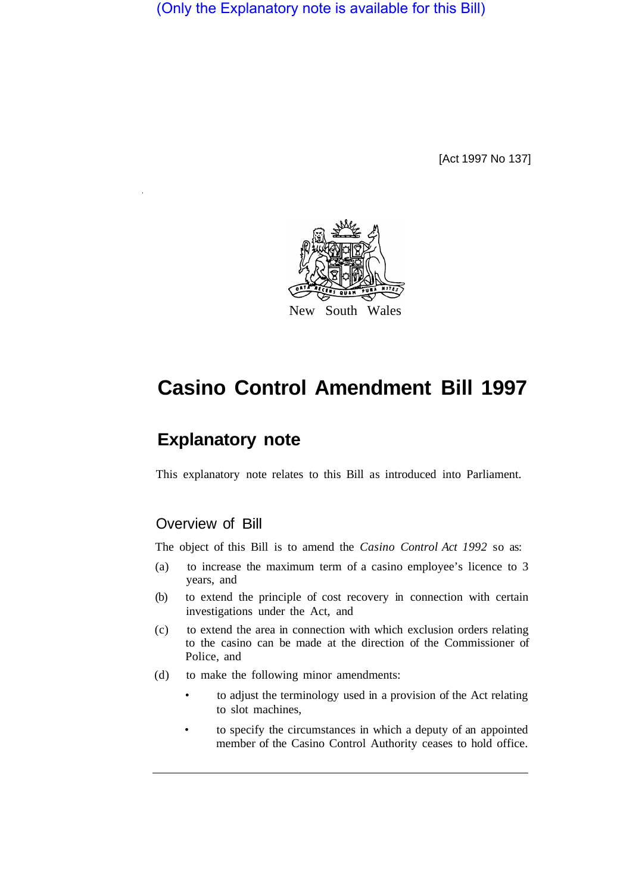(Only the Explanatory note is available for this Bill)

[Act 1997 No 137]



# **Casino Control Amendment Bill 1997**

# **Explanatory note**

This explanatory note relates to this Bill as introduced into Parliament.

## Overview of Bill

The object of this Bill is to amend the *Casino Control Act 1992* so as:

- (a) to increase the maximum term of a casino employee's licence to 3 years, and
- (b) to extend the principle of cost recovery in connection with certain investigations under the Act, and
- (c) to extend the area in connection with which exclusion orders relating to the casino can be made at the direction of the Commissioner of Police, and
- (d) to make the following minor amendments:
	- to adjust the terminology used in a provision of the Act relating to slot machines,
	- to specify the circumstances in which a deputy of an appointed member of the Casino Control Authority ceases to hold office.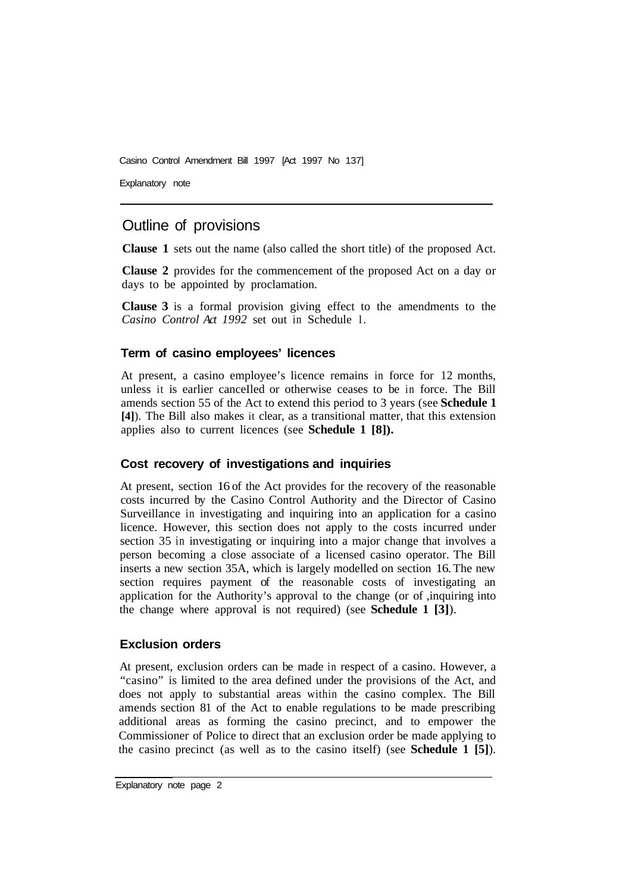Casino Control Amendment Bill 1997 [Act 1997 No 137]

Explanatory note

## Outline of provisions

**Clause 1** sets out the name (also called the short title) of the proposed Act.

**Clause 2** provides for the commencement of the proposed Act on a day or days to be appointed by proclamation.

**Clause 3** is a formal provision giving effect to the amendments to the *Casino Control Act 1992* set out in Schedule l.

#### **Term of casino employees' licences**

At present, a casino employee's licence remains in force for 12 months, unless it is earlier canceIled or otherwise ceases to be in force. The Bill amends section 55 of the Act to extend this period to 3 years (see **Schedule 1 [4]**). The Bill also makes it clear, as a transitional matter, that this extension applies also to current licences (see **Schedule 1 [8]).** 

#### **Cost recovery of investigations and inquiries**

At present, section 16 of the Act provides for the recovery of the reasonable costs incurred by the Casino Control Authority and the Director of Casino Surveillance in investigating and inquiring into an application for a casino licence. However, this section does not apply to the costs incurred under section 35 in investigating or inquiring into a major change that involves a person becoming a close associate of a licensed casino operator. The Bill inserts a new section 35A, which is largely modelled on section 16. The new section requires payment of the reasonable costs of investigating an application for the Authority's approval to the change (or of ,inquiring into the change where approval is not required) (see **Schedule 1 [3]**).

#### **Exclusion orders**

At present, exclusion orders can be made in respect of a casino. However, a "casino" is limited to the area defined under the provisions of the Act, and does not apply to substantial areas within the casino complex. The Bill amends section 81 of the Act to enable regulations to be made prescribing additional areas as forming the casino precinct, and to empower the Commissioner of Police to direct that an exclusion order be made applying to the casino precinct (as well as to the casino itself) (see **Schedule 1 [5]**).